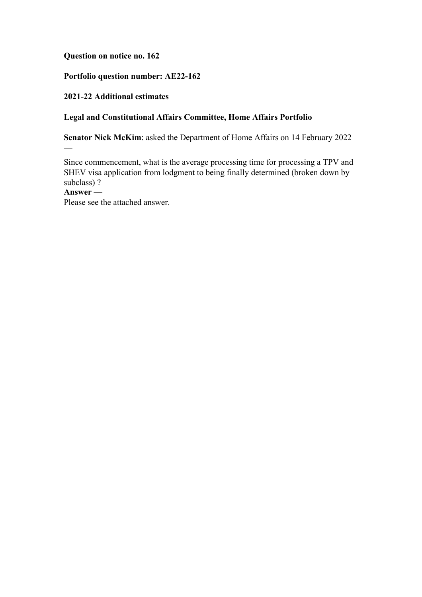#### **Question on notice no. 162**

# **Portfolio question number: AE22-162**

### **2021-22 Additional estimates**

# **Legal and Constitutional Affairs Committee, Home Affairs Portfolio**

**Senator Nick McKim**: asked the Department of Home Affairs on 14 February 2022

Since commencement, what is the average processing time for processing a TPV and SHEV visa application from lodgment to being finally determined (broken down by subclass) ?

## **Answer —**

 $\overline{\phantom{0}}$ 

Please see the attached answer.